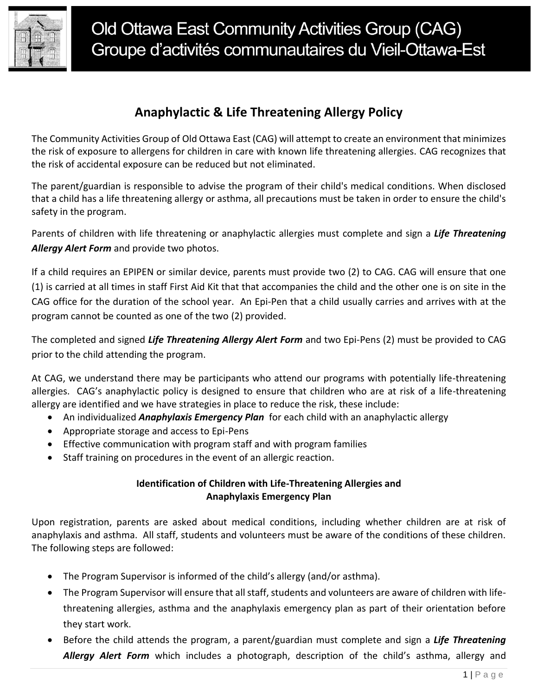

## **Anaphylactic & Life Threatening Allergy Policy**

The Community Activities Group of Old Ottawa East (CAG) will attempt to create an environment that minimizes the risk of exposure to allergens for children in care with known life threatening allergies. CAG recognizes that the risk of accidental exposure can be reduced but not eliminated.

The parent/guardian is responsible to advise the program of their child's medical conditions. When disclosed that a child has a life threatening allergy or asthma, all precautions must be taken in order to ensure the child's safety in the program.

Parents of children with life threatening or anaphylactic allergies must complete and sign a *Life Threatening Allergy Alert Form* and provide two photos.

If a child requires an EPIPEN or similar device, parents must provide two (2) to CAG. CAG will ensure that one (1) is carried at all times in staff First Aid Kit that that accompanies the child and the other one is on site in the CAG office for the duration of the school year. An Epi-Pen that a child usually carries and arrives with at the program cannot be counted as one of the two (2) provided.

The completed and signed *Life Threatening Allergy Alert Form* and two Epi-Pens (2) must be provided to CAG prior to the child attending the program.

At CAG, we understand there may be participants who attend our programs with potentially life-threatening allergies. CAG's anaphylactic policy is designed to ensure that children who are at risk of a life-threatening allergy are identified and we have strategies in place to reduce the risk, these include:

- An individualized *Anaphylaxis Emergency Plan* for each child with an anaphylactic allergy
- Appropriate storage and access to Epi-Pens
- **Effective communication with program staff and with program families**
- Staff training on procedures in the event of an allergic reaction.

#### **Identification of Children with Life-Threatening Allergies and Anaphylaxis Emergency Plan**

Upon registration, parents are asked about medical conditions, including whether children are at risk of anaphylaxis and asthma. All staff, students and volunteers must be aware of the conditions of these children. The following steps are followed:

- The Program Supervisor is informed of the child's allergy (and/or asthma).
- The Program Supervisor will ensure that all staff, students and volunteers are aware of children with lifethreatening allergies, asthma and the anaphylaxis emergency plan as part of their orientation before they start work.
- Before the child attends the program, a parent/guardian must complete and sign a *Life Threatening Allergy Alert Form* which includes a photograph, description of the child's asthma, allergy and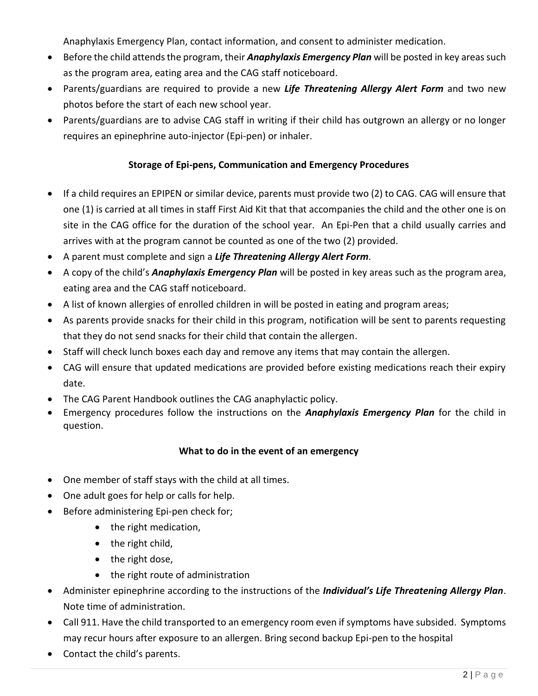Anaphylaxis Emergency Plan, contact information, and consent to administer medication.

- Before the child attends the program, their *Anaphylaxis Emergency Plan* will be posted in key areas such as the program area, eating area and the CAG staff noticeboard.
- Parents/guardians are required to provide a new *Life Threatening Allergy Alert Form* and two new photos before the start of each new school year.
- Parents/guardians are to advise CAG staff in writing if their child has outgrown an allergy or no longer requires an epinephrine auto-injector (Epi-pen) or inhaler.

### **Storage of Epi-pens, Communication and Emergency Procedures**

- If a child requires an EPIPEN or similar device, parents must provide two (2) to CAG. CAG will ensure that one (1) is carried at all times in staff First Aid Kit that that accompanies the child and the other one is on site in the CAG office for the duration of the school year. An Epi-Pen that a child usually carries and arrives with at the program cannot be counted as one of the two (2) provided.
- A parent must complete and sign a *Life Threatening Allergy Alert Form*.
- A copy of the child's *Anaphylaxis Emergency Plan* will be posted in key areas such as the program area, eating area and the CAG staff noticeboard.
- A list of known allergies of enrolled children in will be posted in eating and program areas;
- As parents provide snacks for their child in this program, notification will be sent to parents requesting that they do not send snacks for their child that contain the allergen.
- Staff will check lunch boxes each day and remove any items that may contain the allergen.
- CAG will ensure that updated medications are provided before existing medications reach their expiry date.
- The CAG Parent Handbook outlines the CAG anaphylactic policy.
- Emergency procedures follow the instructions on the *Anaphylaxis Emergency Plan* for the child in question.

#### **What to do in the event of an emergency**

- One member of staff stays with the child at all times.
- One adult goes for help or calls for help.
- Before administering Epi-pen check for;
	- the right medication,
	- $\bullet$  the right child,
	- the right dose,
	- the right route of administration
- Administer epinephrine according to the instructions of the *Individual's Life Threatening Allergy Plan*. Note time of administration.
- Call 911. Have the child transported to an emergency room even if symptoms have subsided. Symptoms may recur hours after exposure to an allergen. Bring second backup Epi-pen to the hospital
- Contact the child's parents.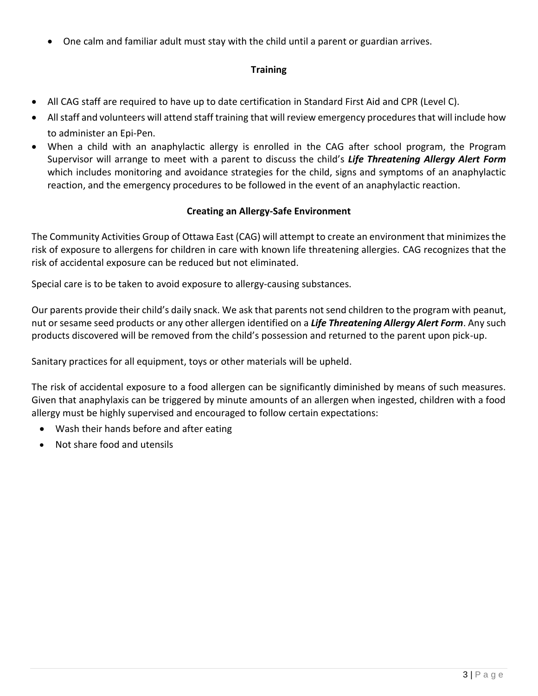One calm and familiar adult must stay with the child until a parent or guardian arrives.

### **Training**

- All CAG staff are required to have up to date certification in Standard First Aid and CPR (Level C).
- All staff and volunteers will attend staff training that will review emergency procedures that will include how to administer an Epi-Pen.
- When a child with an anaphylactic allergy is enrolled in the CAG after school program, the Program Supervisor will arrange to meet with a parent to discuss the child's *Life Threatening Allergy Alert Form* which includes monitoring and avoidance strategies for the child, signs and symptoms of an anaphylactic reaction, and the emergency procedures to be followed in the event of an anaphylactic reaction.

#### **Creating an Allergy-Safe Environment**

The Community Activities Group of Ottawa East (CAG) will attempt to create an environment that minimizes the risk of exposure to allergens for children in care with known life threatening allergies. CAG recognizes that the risk of accidental exposure can be reduced but not eliminated.

Special care is to be taken to avoid exposure to allergy-causing substances.

Our parents provide their child's daily snack. We ask that parents not send children to the program with peanut, nut or sesame seed products or any other allergen identified on a *Life Threatening Allergy Alert Form*. Any such products discovered will be removed from the child's possession and returned to the parent upon pick-up.

Sanitary practices for all equipment, toys or other materials will be upheld.

The risk of accidental exposure to a food allergen can be significantly diminished by means of such measures. Given that anaphylaxis can be triggered by minute amounts of an allergen when ingested, children with a food allergy must be highly supervised and encouraged to follow certain expectations:

- Wash their hands before and after eating
- Not share food and utensils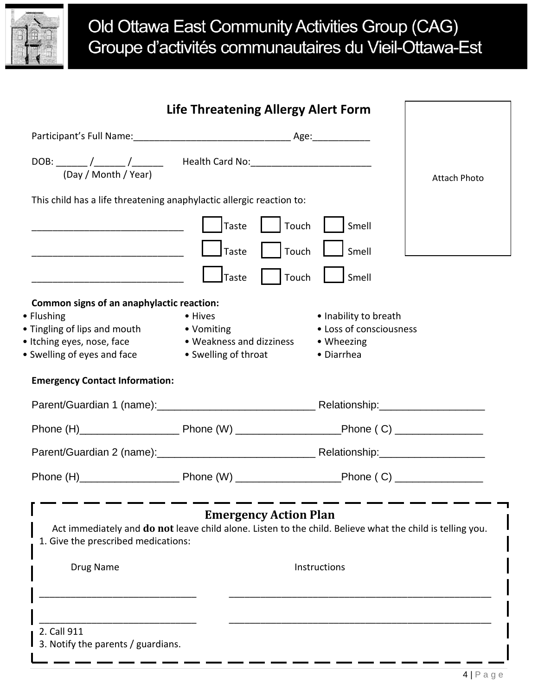

# Old Ottawa East Community Activities Group (CAG) Groupe d'activités communautaires du Vieil-Ottawa-Est

|                                                                                                                                                                                                               | <b>Life Threatening Allergy Alert Form</b>                                |                                                                              |                     |  |
|---------------------------------------------------------------------------------------------------------------------------------------------------------------------------------------------------------------|---------------------------------------------------------------------------|------------------------------------------------------------------------------|---------------------|--|
|                                                                                                                                                                                                               |                                                                           |                                                                              |                     |  |
| (Day / Month / Year)                                                                                                                                                                                          |                                                                           |                                                                              | <b>Attach Photo</b> |  |
| This child has a life threatening anaphylactic allergic reaction to:                                                                                                                                          |                                                                           |                                                                              |                     |  |
|                                                                                                                                                                                                               | Taste<br>Touch                                                            | Smell                                                                        |                     |  |
|                                                                                                                                                                                                               | Touch<br>Taste                                                            | Smell                                                                        |                     |  |
|                                                                                                                                                                                                               | Taste<br>Touch                                                            | Smell                                                                        |                     |  |
| Common signs of an anaphylactic reaction:<br>• Flushing<br>• Tingling of lips and mouth<br>• Itching eyes, nose, face<br>• Swelling of eyes and face                                                          | • Hives<br>• Vomiting<br>• Weakness and dizziness<br>• Swelling of throat | • Inability to breath<br>• Loss of consciousness<br>• Wheezing<br>• Diarrhea |                     |  |
| <b>Emergency Contact Information:</b>                                                                                                                                                                         |                                                                           |                                                                              |                     |  |
|                                                                                                                                                                                                               |                                                                           |                                                                              |                     |  |
|                                                                                                                                                                                                               |                                                                           |                                                                              |                     |  |
|                                                                                                                                                                                                               |                                                                           |                                                                              |                     |  |
|                                                                                                                                                                                                               |                                                                           |                                                                              |                     |  |
| <b>Emergency Action Plan</b><br>Act immediately and do not leave child alone. Listen to the child. Believe what the child is telling you.<br>1. Give the prescribed medications:<br>Instructions<br>Drug Name |                                                                           |                                                                              |                     |  |
| 2. Call 911<br>3. Notify the parents / guardians.                                                                                                                                                             |                                                                           |                                                                              |                     |  |

s

s

e

s